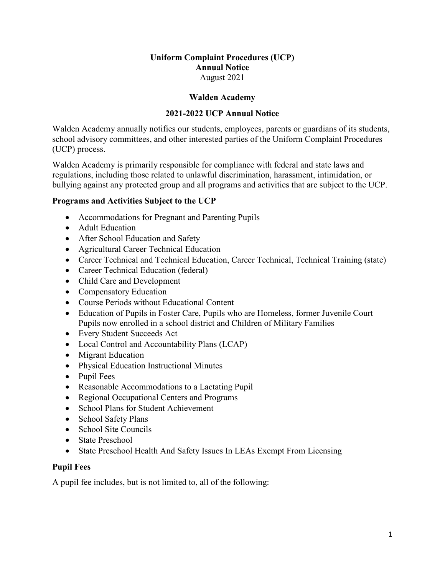## **Uniform Complaint Procedures (UCP) Annual Notice** August 2021

### **Walden Academy**

## **2021-2022 UCP Annual Notice**

Walden Academy annually notifies our students, employees, parents or guardians of its students, school advisory committees, and other interested parties of the Uniform Complaint Procedures (UCP) process.

Walden Academy is primarily responsible for compliance with federal and state laws and regulations, including those related to unlawful discrimination, harassment, intimidation, or bullying against any protected group and all programs and activities that are subject to the UCP.

## **Programs and Activities Subject to the UCP**

- Accommodations for Pregnant and Parenting Pupils
- Adult Education
- After School Education and Safety
- Agricultural Career Technical Education
- Career Technical and Technical Education, Career Technical, Technical Training (state)
- Career Technical Education (federal)
- Child Care and Development
- Compensatory Education
- Course Periods without Educational Content
- Education of Pupils in Foster Care, Pupils who are Homeless, former Juvenile Court Pupils now enrolled in a school district and Children of Military Families
- Every Student Succeeds Act
- Local Control and Accountability Plans (LCAP)
- Migrant Education
- Physical Education Instructional Minutes
- Pupil Fees
- Reasonable Accommodations to a Lactating Pupil
- Regional Occupational Centers and Programs
- School Plans for Student Achievement
- School Safety Plans
- School Site Councils
- State Preschool
- State Preschool Health And Safety Issues In LEAs Exempt From Licensing

### **Pupil Fees**

A pupil fee includes, but is not limited to, all of the following: